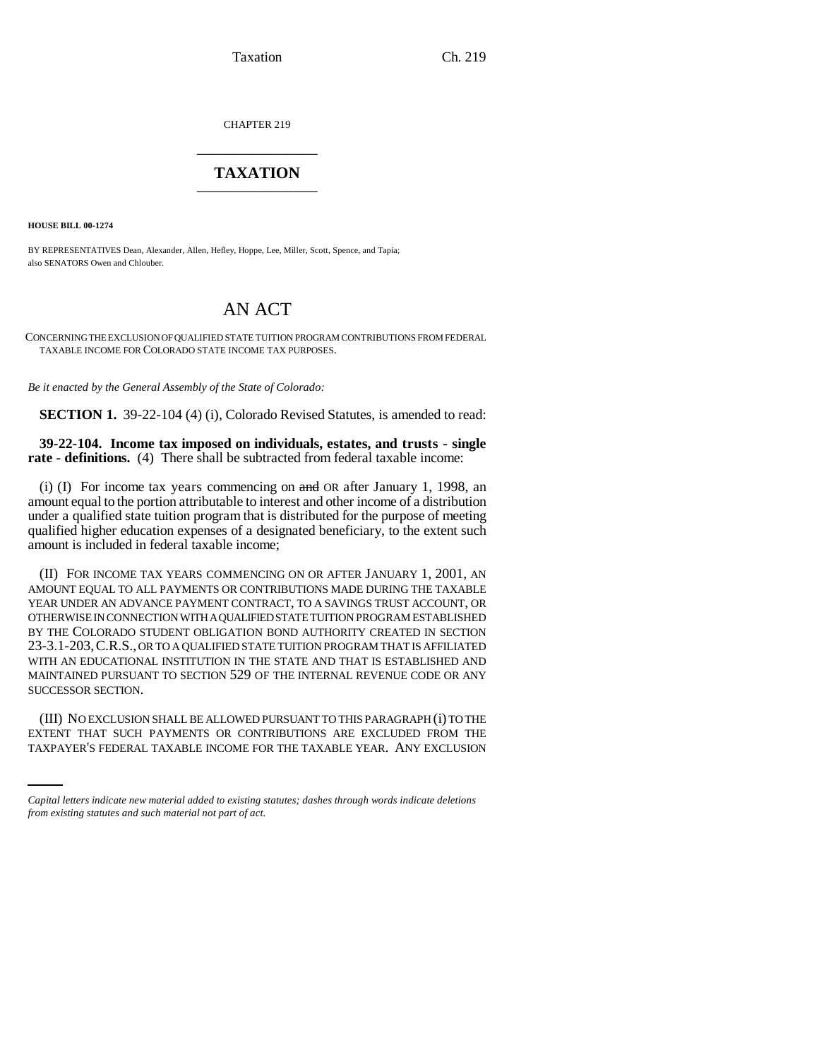Taxation Ch. 219

CHAPTER 219 \_\_\_\_\_\_\_\_\_\_\_\_\_\_\_

## **TAXATION** \_\_\_\_\_\_\_\_\_\_\_\_\_\_\_

**HOUSE BILL 00-1274** 

BY REPRESENTATIVES Dean, Alexander, Allen, Hefley, Hoppe, Lee, Miller, Scott, Spence, and Tapia; also SENATORS Owen and Chlouber.

# AN ACT

CONCERNING THE EXCLUSION OF QUALIFIED STATE TUITION PROGRAM CONTRIBUTIONS FROM FEDERAL TAXABLE INCOME FOR COLORADO STATE INCOME TAX PURPOSES.

*Be it enacted by the General Assembly of the State of Colorado:*

**SECTION 1.** 39-22-104 (4) (i), Colorado Revised Statutes, is amended to read:

#### **39-22-104. Income tax imposed on individuals, estates, and trusts - single rate - definitions.** (4) There shall be subtracted from federal taxable income:

(i) (I) For income tax years commencing on and OR after January 1, 1998, an amount equal to the portion attributable to interest and other income of a distribution under a qualified state tuition program that is distributed for the purpose of meeting qualified higher education expenses of a designated beneficiary, to the extent such amount is included in federal taxable income;

(II) FOR INCOME TAX YEARS COMMENCING ON OR AFTER JANUARY 1, 2001, AN AMOUNT EQUAL TO ALL PAYMENTS OR CONTRIBUTIONS MADE DURING THE TAXABLE YEAR UNDER AN ADVANCE PAYMENT CONTRACT, TO A SAVINGS TRUST ACCOUNT, OR OTHERWISE IN CONNECTION WITH A QUALIFIED STATE TUITION PROGRAM ESTABLISHED BY THE COLORADO STUDENT OBLIGATION BOND AUTHORITY CREATED IN SECTION 23-3.1-203,C.R.S., OR TO A QUALIFIED STATE TUITION PROGRAM THAT IS AFFILIATED WITH AN EDUCATIONAL INSTITUTION IN THE STATE AND THAT IS ESTABLISHED AND MAINTAINED PURSUANT TO SECTION 529 OF THE INTERNAL REVENUE CODE OR ANY SUCCESSOR SECTION.

(III) NO EXCLUSION SHALL BE ALLOWED PURSUANT TO THIS PARAGRAPH (i) TO THE EXTENT THAT SUCH PAYMENTS OR CONTRIBUTIONS ARE EXCLUDED FROM THE TAXPAYER'S FEDERAL TAXABLE INCOME FOR THE TAXABLE YEAR. ANY EXCLUSION

*Capital letters indicate new material added to existing statutes; dashes through words indicate deletions from existing statutes and such material not part of act.*